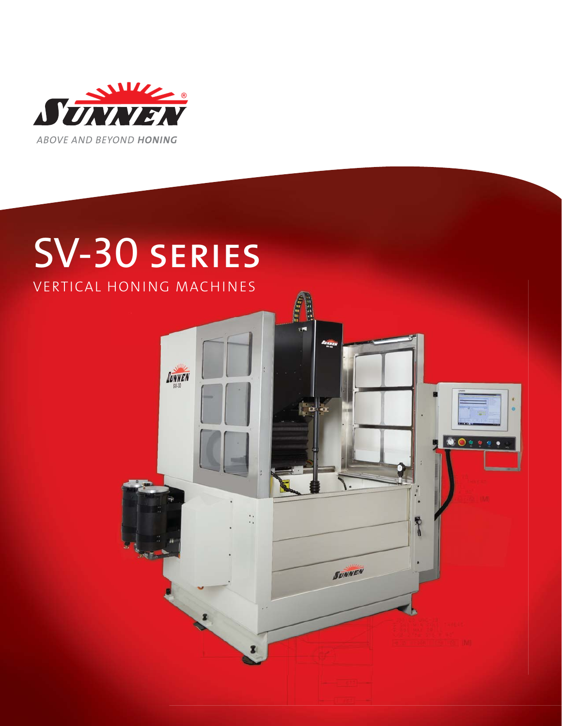

# SV-30 series

VERTICAL HONING MACHINES

SUNNEN

E P.

 $\bullet$   $\bullet$   $\bullet$   $\bullet$ 

T

**SUNNEN**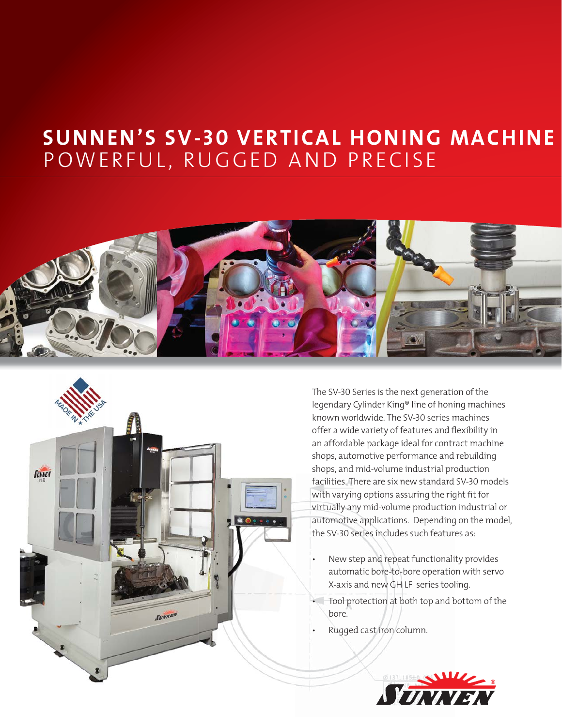# **SUNNEN'S SV-30 VERTICAL HONING MACHINE** POWERFUL, RUGGED AND PRECISE





The SV-30 Series is the next generation of the legendary Cylinder King® line of honing machines known worldwide. The SV-30 series machines offer a wide variety of features and flexibility in an affordable package ideal for contract machine shops, automotive performance and rebuilding shops, and mid-volume industrial production facilities. There are six new standard SV-30 models with varying options assuring the right fit for virtually any mid-volume production industrial or automotive applications. Depending on the model, the SV-30 series includes such features as:

- New step and repeat functionality provides automatic bore-to-bore operation with servo X-axis and new GH LF series tooling.
- Tool protection at both top and bottom of the bore.
- Rugged cast iron column.

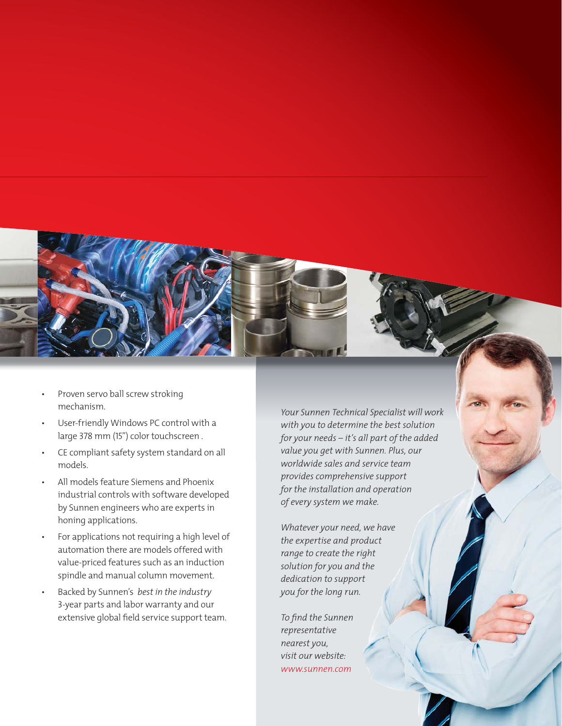

- Proven servo ball screw stroking mechanism.
- User-friendly Windows PC control with a large 378 mm (15") color touchscreen .
- CE compliant safety system standard on all models.
- All models feature Siemens and Phoenix industrial controls with software developed by Sunnen engineers who are experts in honing applications.
- For applications not requiring a high level of automation there are models offered with value-priced features such as an induction spindle and manual column movement.
- Backed by Sunnen's *best in the industry*  3-year parts and labor warranty and our extensive global field service support team.

*Your Sunnen Technical Specialist will work with you to determine the best solution for your needs – it's all part of the added value you get with Sunnen. Plus, our worldwide sales and service team provides comprehensive support for the installation and operation of every system we make.* 

*Whatever your need, we have the expertise and product range to create the right solution for you and the dedication to support you for the long run.*

*To fi nd the Sunnen representative nearest you, visit our website: www.sunnen.com*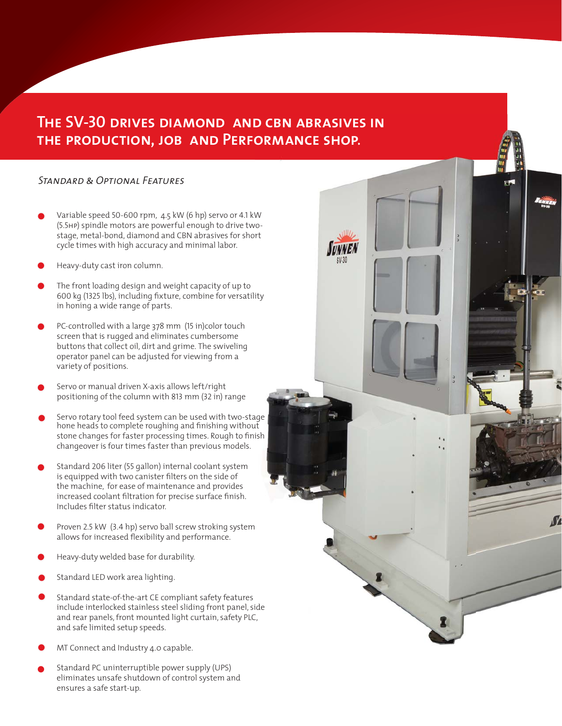# The SV-30 drives diamo<mark>nd and cbn abrasives in</mark><br>The production, Job And Performance shop. **the production, job and Performance shop.**

 $SV.30$ 

#### *Standard & Optional Features*

- $\bullet$ Variable speed 50-600 rpm, 4.5 kW (6 hp) servo or 4.1 kW (5.5hp) spindle motors are powerful enough to drive twostage, metal-bond, diamond and CBN abrasives for short cycle times with high accuracy and minimal labor.
- $\bullet$ Heavy-duty cast iron column.
- $\bullet$ The front loading design and weight capacity of up to 600 kg (1325 lbs), including fixture, combine for versatility in honing a wide range of parts.
- $\bullet$ PC-controlled with a large 378 mm (15 in)color touch screen that is rugged and eliminates cumbersome buttons that collect oil, dirt and grime. The swiveling operator panel can be adjusted for viewing from a variety of positions.
- $\bullet$ Servo or manual driven X-axis allows left/right positioning of the column with 813 mm (32 in) range
- $\bullet$ Servo rotary tool feed system can be used with two-stage hone heads to complete roughing and finishing without stone changes for faster processing times. Rough to finish changeover is four times faster than previous models.
- $\bullet$ Standard 206 liter (55 gallon) internal coolant system is equipped with two canister filters on the side of the machine, for ease of maintenance and provides increased coolant filtration for precise surface finish. Includes fi lter status indicator.
- Proven 2.5 kW (3.4 hp) servo ball screw stroking system allows for increased flexibility and performance.  $\bullet$
- $\bullet$ Heavy-duty welded base for durability.
- $\bullet$ Standard LED work area lighting.
- $\bullet$ Standard state-of-the-art CE compliant safety features include interlocked stainless steel sliding front panel, side and rear panels, front mounted light curtain, safety PLC, and safe limited setup speeds.
- $\bullet$ MT Connect and Industry 4.0 capable.
- $\bullet$ Standard PC uninterruptible power supply (UPS) eliminates unsafe shutdown of control system and ensures a safe start-up.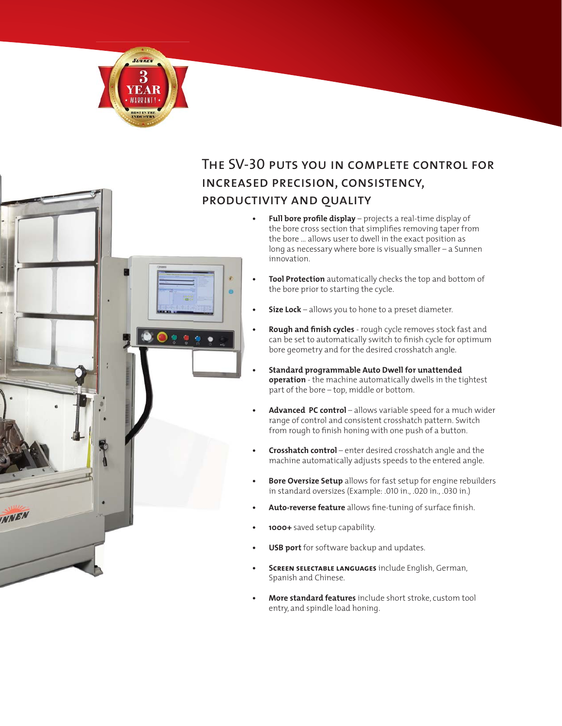

**INNEN** 

ö

## The SV-30 puts you in complete control for increased precision, consistency, productivity and quality

- **Full bore profile display** projects a real-time display of the bore cross section that simplifies removing taper from the bore … allows user to dwell in the exact position as long as necessary where bore is visually smaller – a Sunnen innovation.
- **Tool Protection** automatically checks the top and bottom of the bore prior to starting the cycle.
- **Size Lock** allows you to hone to a preset diameter.
- **Rough and finish cycles** rough cycle removes stock fast and can be set to automatically switch to finish cycle for optimum bore geometry and for the desired crosshatch angle.
- **Standard programmable Auto Dwell for unattended operation** - the machine automatically dwells in the tightest part of the bore – top, middle or bottom.
- Advanced PC control allows variable speed for a much wider range of control and consistent crosshatch pattern. Switch from rough to finish honing with one push of a button.
- **Crosshatch control** enter desired crosshatch angle and the machine automatically adjusts speeds to the entered angle.
- **Bore Oversize Setup** allows for fast setup for engine rebuilders in standard oversizes (Example: .010 in., .020 in., .030 in.)
- Auto-reverse feature allows fine-tuning of surface finish.
- **1000+** saved setup capability.
- **USB port** for software backup and updates.
- **Screen selectable languages** include English, German, Spanish and Chinese.
- **More standard features** include short stroke, custom tool entry, and spindle load honing.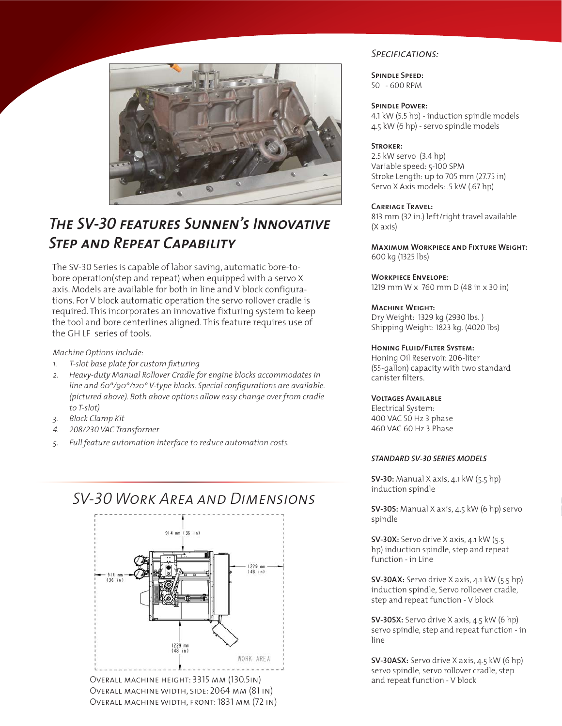

# *The SV-30 features Sunnen's Innovative Step and Repeat Capability*

The SV-30 Series is capable of labor saving, automatic bore-tobore operation(step and repeat) when equipped with a servo X axis. Models are available for both in line and V block configurations. For V block automatic operation the servo rollover cradle is required. This incorporates an innovative fixturing system to keep the tool and bore centerlines aligned. This feature requires use of the GH LF series of tools.

#### *Machine Options include:*

- *1. T-slot base plate for custom fi xturing*
- *2. Heavy-duty Manual Rollover Cradle for engine blocks accommodates in*  line and 60°/90°/120° V-type blocks. Special configurations are available. *(pictured above). Both above options allow easy change over from cradle to T-slot)*
- *3. Block Clamp Kit*
- *4. 208/230 VAC Transformer*
- *5. Full feature automation interface to reduce automation costs.*

## *SV-30 Work Area and Dimensions*



Overall machine width, side: 2064 mm (81 in) Overall machine width, front: 1831 mm (72 in)

#### *Specifications:*

**Spindle Speed:** 50 - 600 RPM

#### **Spindle Power:**

4.1 kW (5.5 hp) - induction spindle models 4.5 kW (6 hp) - servo spindle models

#### **Stroker:**

2.5 kW servo (3.4 hp) Variable speed: 5-100 SPM Stroke Length: up to 705 mm (27.75 in) Servo X Axis models: .5 kW (.67 hp)

#### **Carriage Travel:**

813 mm (32 in.) left/right travel available (X axis)

**Maximum Workpiece and Fixture Weight:** 600 kg (1325 lbs)

**Workpiece Envelope:** 1219 mm W x 760 mm D (48 in x 30 in)

#### **Machine Weight:**

Dry Weight: 1329 kg (2930 lbs. ) Shipping Weight: 1823 kg. (4020 lbs)

#### **Honing Fluid/Filter System:**

Honing Oil Reservoir: 206-liter (55-gallon) capacity with two standard canister filters.

#### **Voltages Available**

Electrical System: 400 VAC 50 Hz 3 phase 460 VAC 60 Hz 3 Phase

#### *STANDARD SV-30 SERIES MODELS*

**SV-30:** Manual X axis, 4.1 kW (5.5 hp) induction spindle

**SV-30S:** Manual X axis, 4.5 kW (6 hp) servo spindle

**SV-30X:** Servo drive X axis, 4.1 kW (5.5 hp) induction spindle, step and repeat function - in Line

**SV-30AX:** Servo drive X axis, 4.1 kW (5.5 hp) induction spindle, Servo rolloever cradle, step and repeat function - V block

**SV-30SX:** Servo drive X axis, 4.5 kW (6 hp) servo spindle, step and repeat function - in line

**SV-30ASX:** Servo drive X axis, 4.5 kW (6 hp) servo spindle, servo rollover cradle, step and repeat function - V block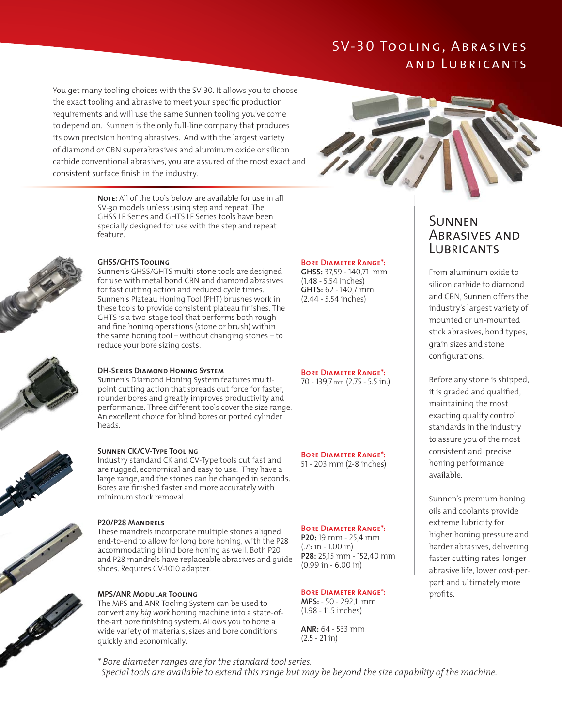## SV-30 Tooling, Abrasives and Lubricants

You get many tooling choices with the SV-30. It allows you to choose the exact tooling and abrasive to meet your specific production requirements and will use the same Sunnen tooling you've come to depend on. Sunnen is the only full-line company that produces its own precision honing abrasives. And with the largest variety of diamond or CBN superabrasives and aluminum oxide or silicon carbide conventional abrasives, you are assured of the most exact and consistent surface finish in the industry.



**Note:** All of the tools below are available for use in all SV-30 models unless using step and repeat. The GHSS LF Series and GHTS LF Series tools have been specially designed for use with the step and repeat feature.



#### **GHSS/GHTS Tooling**

Sunnen's GHSS/GHTS multi-stone tools are designed for use with metal bond CBN and diamond abrasives for fast cutting action and reduced cycle times. Sunnen's Plateau Honing Tool (PHT) brushes work in these tools to provide consistent plateau finishes. The GHTS is a two-stage tool that performs both rough and fine honing operations (stone or brush) within the same honing tool – without changing stones – to reduce your bore sizing costs.



#### **DH-Series Diamond Honing System**

Sunnen's Diamond Honing System features multipoint cutting action that spreads out force for faster, rounder bores and greatly improves productivity and performance. Three different tools cover the size range. An excellent choice for blind bores or ported cylinder heads.



#### **Sunnen CK/CV-Type Tooling**

Industry standard CK and CV-Type tools cut fast and are rugged, economical and easy to use. They have a large range, and the stones can be changed in seconds. Bores are finished faster and more accurately with minimum stock removal.

#### **P20/P28 Mandrels**

These mandrels incorporate multiple stones aligned end-to-end to allow for long bore honing, with the P28 accommodating blind bore honing as well. Both P20 and P28 mandrels have replaceable abrasives and guide shoes. Requires CV-1010 adapter.

#### **MPS/ANR Modular Tooling**

The MPS and ANR Tooling System can be used to convert any *big work* honing machine into a state-ofthe-art bore finishing system. Allows you to hone a wide variety of materials, sizes and bore conditions quickly and economically.

#### **Bore Diameter Range\*:**

**GHSS:** 37,59 - 140,71 mm (1.48 - 5.54 inches) **GHTS:** 62 - 140,7 mm (2.44 - 5.54 inches)

#### **Bore Diameter Range\*:**

70 - 139,7 mm (2.75 - 5.5 in.)

**Bore Diameter Range\*:**  51 - 203 mm (2-8 inches)

#### **Bore Diameter Range\*:**

**P20:** 19 mm - 25,4 mm (.75 in - 1.00 in) **P28:** 25,15 mm - 152,40 mm (0.99 in - 6.00 in)

#### **Bore Diameter Range\*:**

**MPS:** - 50 - 292,1 mm (1.98 - 11.5 inches)

**ANR:** 64 - 533 mm (2.5 - 21 in)

### Sunnen Abrasives and **LUBRICANTS**

From aluminum oxide to silicon carbide to diamond and CBN, Sunnen offers the industry's largest variety of mounted or un-mounted stick abrasives, bond types, grain sizes and stone configurations.

Before any stone is shipped, it is graded and qualified, maintaining the most exacting quality control standards in the industry to assure you of the most consistent and precise honing performance available.

Sunnen's premium honing oils and coolants provide extreme lubricity for higher honing pressure and harder abrasives, delivering faster cutting rates, longer abrasive life, lower cost-perpart and ultimately more profits.

*\* Bore diameter ranges are for the standard tool series.*

 *Special tools are available to extend this range but may be beyond the size capability of the machine.*